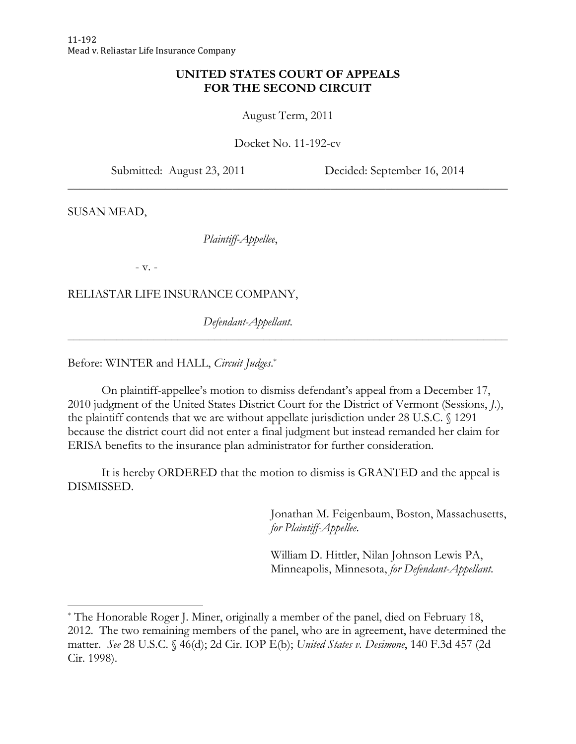# **UNITED STATES COURT OF APPEALS FOR THE SECOND CIRCUIT**

August Term, 2011

Docket No. 11-192-cv

\_\_\_\_\_\_\_\_\_\_\_\_\_\_\_\_\_\_\_\_\_\_\_\_\_\_\_\_\_\_\_\_\_\_\_\_\_\_\_\_\_\_\_\_\_\_\_\_\_\_\_\_\_\_\_\_\_\_\_\_\_\_\_\_\_\_\_\_\_\_\_\_

Submitted: August 23, 2011 Decided: September 16, 2014

SUSAN MEAD,

*Plaintiff-Appellee*,

- v. -

<u> 1989 - Johann Stein, fransk politik (d. 1989)</u>

RELIASTAR LIFE INSURANCE COMPANY,

*Defendant-Appellant*.

Before: WINTER and HALL, *Circuit Judges*. \*

 On plaintiff-appellee's motion to dismiss defendant's appeal from a December 17, 2010 judgment of the United States District Court for the District of Vermont (Sessions, *J.*), the plaintiff contends that we are without appellate jurisdiction under 28 U.S.C. § 1291 because the district court did not enter a final judgment but instead remanded her claim for ERISA benefits to the insurance plan administrator for further consideration.

 $\overline{\phantom{a}}$  , and the contribution of the contribution of the contribution of the contribution of the contribution of the contribution of the contribution of the contribution of the contribution of the contribution of the

 It is hereby ORDERED that the motion to dismiss is GRANTED and the appeal is DISMISSED.

> Jonathan M. Feigenbaum, Boston, Massachusetts, *for Plaintiff-Appellee*.

William D. Hittler, Nilan Johnson Lewis PA, Minneapolis, Minnesota, *for Defendant-Appellant*.

<sup>\*</sup> The Honorable Roger J. Miner, originally a member of the panel, died on February 18, 2012. The two remaining members of the panel, who are in agreement, have determined the matter. *See* 28 U.S.C. § 46(d); 2d Cir. IOP E(b); *United States v. Desimone*, 140 F.3d 457 (2d Cir. 1998).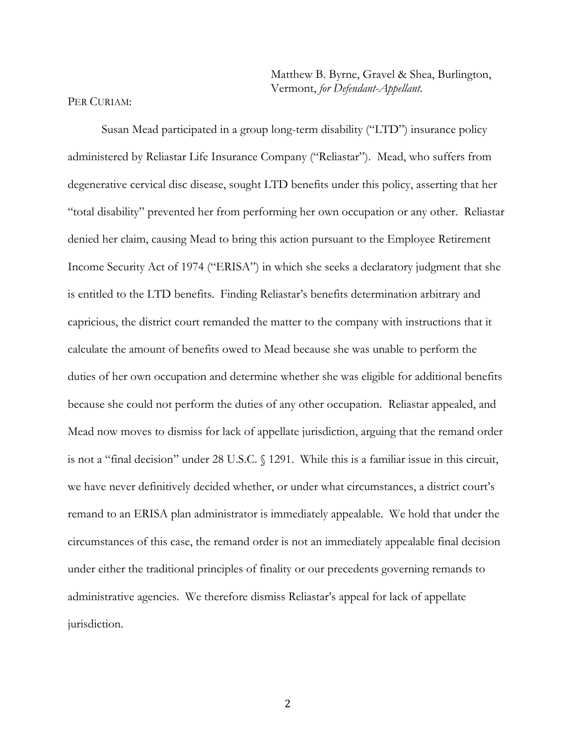Matthew B. Byrne, Gravel & Shea, Burlington, Vermont, *for Defendant-Appellant*.

#### PER CURIAM:

 Susan Mead participated in a group long-term disability ("LTD") insurance policy administered by Reliastar Life Insurance Company ("Reliastar"). Mead, who suffers from degenerative cervical disc disease, sought LTD benefits under this policy, asserting that her "total disability" prevented her from performing her own occupation or any other. Reliastar denied her claim, causing Mead to bring this action pursuant to the Employee Retirement Income Security Act of 1974 ("ERISA") in which she seeks a declaratory judgment that she is entitled to the LTD benefits. Finding Reliastar's benefits determination arbitrary and capricious, the district court remanded the matter to the company with instructions that it calculate the amount of benefits owed to Mead because she was unable to perform the duties of her own occupation and determine whether she was eligible for additional benefits because she could not perform the duties of any other occupation. Reliastar appealed, and Mead now moves to dismiss for lack of appellate jurisdiction, arguing that the remand order is not a "final decision" under 28 U.S.C. § 1291. While this is a familiar issue in this circuit, we have never definitively decided whether, or under what circumstances, a district court's remand to an ERISA plan administrator is immediately appealable. We hold that under the circumstances of this case, the remand order is not an immediately appealable final decision under either the traditional principles of finality or our precedents governing remands to administrative agencies. We therefore dismiss Reliastar's appeal for lack of appellate jurisdiction.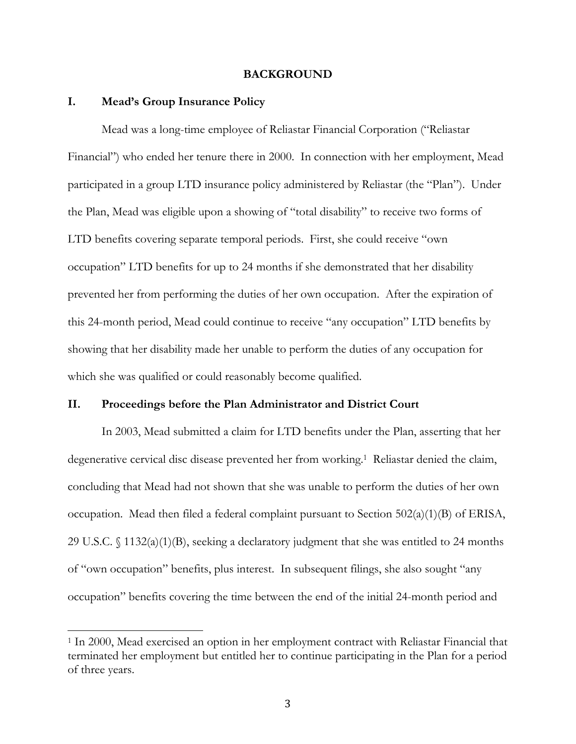#### **BACKGROUND**

#### **I. Mead's Group Insurance Policy**

<u> 1989 - Johann Stein, fransk politik (d. 1989)</u>

 Mead was a long-time employee of Reliastar Financial Corporation ("Reliastar Financial") who ended her tenure there in 2000. In connection with her employment, Mead participated in a group LTD insurance policy administered by Reliastar (the "Plan"). Under the Plan, Mead was eligible upon a showing of "total disability" to receive two forms of LTD benefits covering separate temporal periods. First, she could receive "own occupation" LTD benefits for up to 24 months if she demonstrated that her disability prevented her from performing the duties of her own occupation. After the expiration of this 24-month period, Mead could continue to receive "any occupation" LTD benefits by showing that her disability made her unable to perform the duties of any occupation for which she was qualified or could reasonably become qualified.

### **II. Proceedings before the Plan Administrator and District Court**

 In 2003, Mead submitted a claim for LTD benefits under the Plan, asserting that her degenerative cervical disc disease prevented her from working.<sup>1</sup> Reliastar denied the claim, concluding that Mead had not shown that she was unable to perform the duties of her own occupation. Mead then filed a federal complaint pursuant to Section 502(a)(1)(B) of ERISA, 29 U.S.C. § 1132(a)(1)(B), seeking a declaratory judgment that she was entitled to 24 months of "own occupation" benefits, plus interest. In subsequent filings, she also sought "any occupation" benefits covering the time between the end of the initial 24-month period and

<sup>1</sup> In 2000, Mead exercised an option in her employment contract with Reliastar Financial that terminated her employment but entitled her to continue participating in the Plan for a period of three years.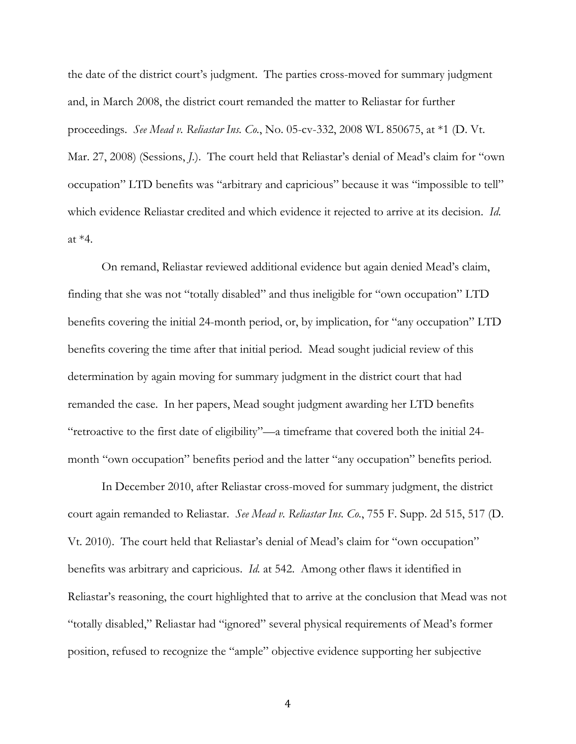the date of the district court's judgment. The parties cross-moved for summary judgment and, in March 2008, the district court remanded the matter to Reliastar for further proceedings. *See Mead v. Reliastar Ins. Co.*, No. 05-cv-332, 2008 WL 850675, at \*1 (D. Vt. Mar. 27, 2008) (Sessions, *J.*). The court held that Reliastar's denial of Mead's claim for "own occupation" LTD benefits was "arbitrary and capricious" because it was "impossible to tell" which evidence Reliastar credited and which evidence it rejected to arrive at its decision. *Id*. at \*4.

 On remand, Reliastar reviewed additional evidence but again denied Mead's claim, finding that she was not "totally disabled" and thus ineligible for "own occupation" LTD benefits covering the initial 24-month period, or, by implication, for "any occupation" LTD benefits covering the time after that initial period. Mead sought judicial review of this determination by again moving for summary judgment in the district court that had remanded the case. In her papers, Mead sought judgment awarding her LTD benefits "retroactive to the first date of eligibility"—a timeframe that covered both the initial 24 month "own occupation" benefits period and the latter "any occupation" benefits period.

 In December 2010, after Reliastar cross-moved for summary judgment, the district court again remanded to Reliastar. *See Mead v. Reliastar Ins. Co.*, 755 F. Supp. 2d 515, 517 (D. Vt. 2010). The court held that Reliastar's denial of Mead's claim for "own occupation" benefits was arbitrary and capricious. *Id.* at 542. Among other flaws it identified in Reliastar's reasoning, the court highlighted that to arrive at the conclusion that Mead was not "totally disabled," Reliastar had "ignored" several physical requirements of Mead's former position, refused to recognize the "ample" objective evidence supporting her subjective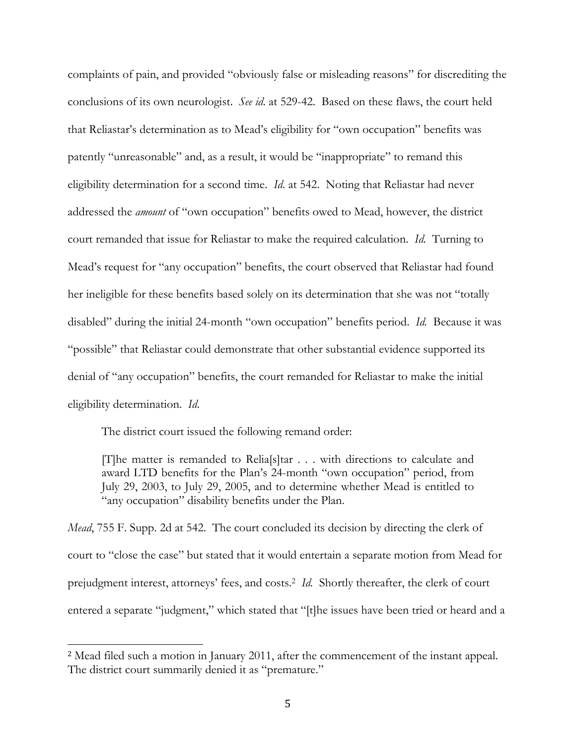complaints of pain, and provided "obviously false or misleading reasons" for discrediting the conclusions of its own neurologist. *See id*. at 529-42. Based on these flaws, the court held that Reliastar's determination as to Mead's eligibility for "own occupation" benefits was patently "unreasonable" and, as a result, it would be "inappropriate" to remand this eligibility determination for a second time. *Id*. at 542. Noting that Reliastar had never addressed the *amount* of "own occupation" benefits owed to Mead, however, the district court remanded that issue for Reliastar to make the required calculation. *Id.* Turning to Mead's request for "any occupation" benefits, the court observed that Reliastar had found her ineligible for these benefits based solely on its determination that she was not "totally disabled" during the initial 24-month "own occupation" benefits period. *Id.* Because it was "possible" that Reliastar could demonstrate that other substantial evidence supported its denial of "any occupation" benefits, the court remanded for Reliastar to make the initial eligibility determination. *Id*.

The district court issued the following remand order:

<u> 1989 - Johann Stein, fransk politik (d. 1989)</u>

[T]he matter is remanded to Relia[s]tar . . . with directions to calculate and award LTD benefits for the Plan's 24-month "own occupation" period, from July 29, 2003, to July 29, 2005, and to determine whether Mead is entitled to "any occupation" disability benefits under the Plan.

*Mead*, 755 F. Supp. 2d at 542. The court concluded its decision by directing the clerk of court to "close the case" but stated that it would entertain a separate motion from Mead for prejudgment interest, attorneys' fees, and costs.2 *Id.* Shortly thereafter, the clerk of court entered a separate "judgment," which stated that "[t]he issues have been tried or heard and a

<sup>2</sup> Mead filed such a motion in January 2011, after the commencement of the instant appeal. The district court summarily denied it as "premature."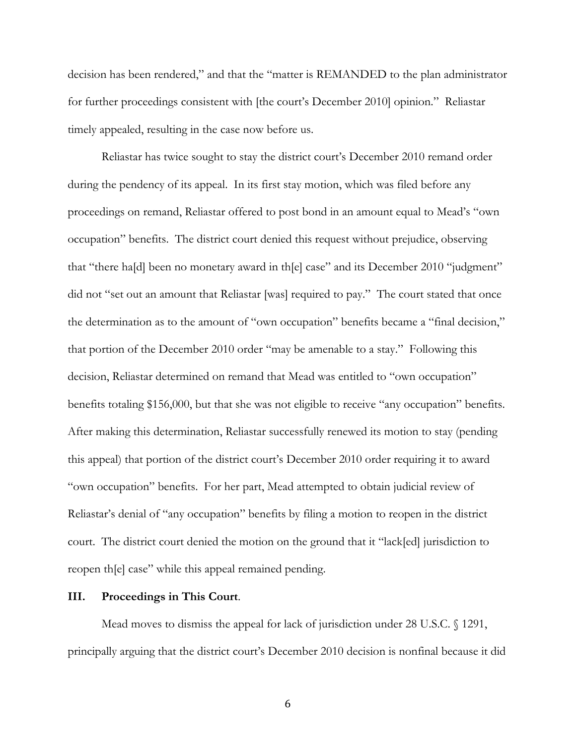decision has been rendered," and that the "matter is REMANDED to the plan administrator for further proceedings consistent with [the court's December 2010] opinion." Reliastar timely appealed, resulting in the case now before us.

 Reliastar has twice sought to stay the district court's December 2010 remand order during the pendency of its appeal. In its first stay motion, which was filed before any proceedings on remand, Reliastar offered to post bond in an amount equal to Mead's "own occupation" benefits. The district court denied this request without prejudice, observing that "there ha[d] been no monetary award in th[e] case" and its December 2010 "judgment" did not "set out an amount that Reliastar [was] required to pay." The court stated that once the determination as to the amount of "own occupation" benefits became a "final decision," that portion of the December 2010 order "may be amenable to a stay." Following this decision, Reliastar determined on remand that Mead was entitled to "own occupation" benefits totaling \$156,000, but that she was not eligible to receive "any occupation" benefits. After making this determination, Reliastar successfully renewed its motion to stay (pending this appeal) that portion of the district court's December 2010 order requiring it to award "own occupation" benefits. For her part, Mead attempted to obtain judicial review of Reliastar's denial of "any occupation" benefits by filing a motion to reopen in the district court. The district court denied the motion on the ground that it "lack[ed] jurisdiction to reopen th[e] case" while this appeal remained pending.

## **III. Proceedings in This Court**.

 Mead moves to dismiss the appeal for lack of jurisdiction under 28 U.S.C. § 1291, principally arguing that the district court's December 2010 decision is nonfinal because it did

 $\sim$  6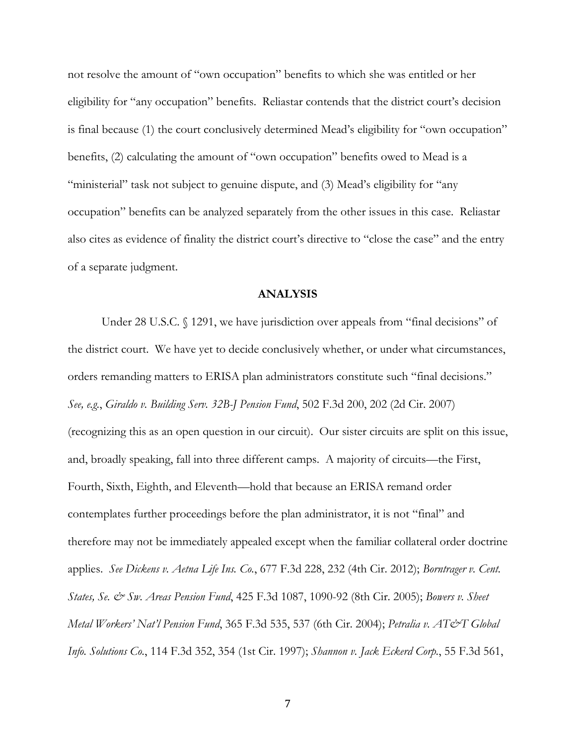not resolve the amount of "own occupation" benefits to which she was entitled or her eligibility for "any occupation" benefits. Reliastar contends that the district court's decision is final because (1) the court conclusively determined Mead's eligibility for "own occupation" benefits, (2) calculating the amount of "own occupation" benefits owed to Mead is a "ministerial" task not subject to genuine dispute, and (3) Mead's eligibility for "any occupation" benefits can be analyzed separately from the other issues in this case. Reliastar also cites as evidence of finality the district court's directive to "close the case" and the entry of a separate judgment.

### **ANALYSIS**

Under 28 U.S.C. § 1291, we have jurisdiction over appeals from "final decisions" of the district court. We have yet to decide conclusively whether, or under what circumstances, orders remanding matters to ERISA plan administrators constitute such "final decisions." *See, e.g.*, *Giraldo v. Building Serv. 32B-J Pension Fund*, 502 F.3d 200, 202 (2d Cir. 2007) (recognizing this as an open question in our circuit). Our sister circuits are split on this issue, and, broadly speaking, fall into three different camps. A majority of circuits—the First, Fourth, Sixth, Eighth, and Eleventh—hold that because an ERISA remand order contemplates further proceedings before the plan administrator, it is not "final" and therefore may not be immediately appealed except when the familiar collateral order doctrine applies. *See Dickens v. Aetna Life Ins. Co.*, 677 F.3d 228, 232 (4th Cir. 2012); *Borntrager v. Cent. States, Se. & Sw. Areas Pension Fund*, 425 F.3d 1087, 1090-92 (8th Cir. 2005); *Bowers v. Sheet Metal Workers' Nat'l Pension Fund*, 365 F.3d 535, 537 (6th Cir. 2004); *Petralia v. AT&T Global Info. Solutions Co.*, 114 F.3d 352, 354 (1st Cir. 1997); *Shannon v. Jack Eckerd Corp.*, 55 F.3d 561,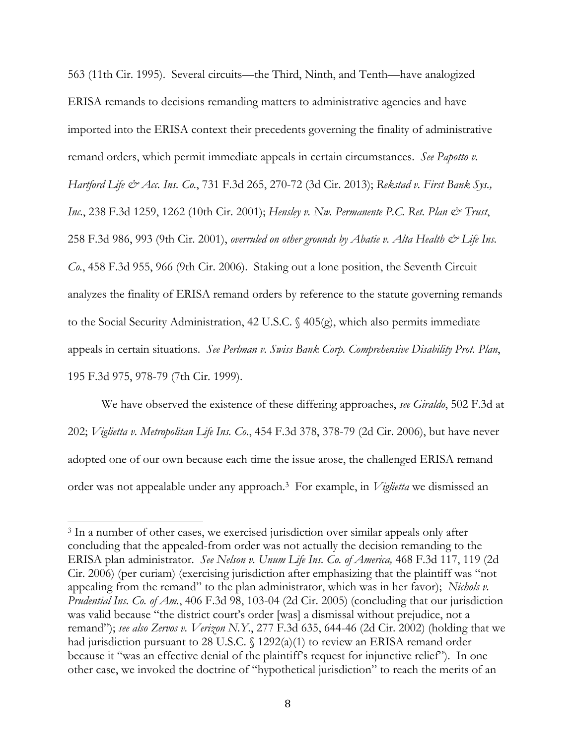563 (11th Cir. 1995). Several circuits—the Third, Ninth, and Tenth—have analogized ERISA remands to decisions remanding matters to administrative agencies and have imported into the ERISA context their precedents governing the finality of administrative remand orders, which permit immediate appeals in certain circumstances. *See Papotto v. Hartford Life & Acc. Ins. Co.*, 731 F.3d 265, 270-72 (3d Cir. 2013); *Rekstad v. First Bank Sys., Inc.*, 238 F.3d 1259, 1262 (10th Cir. 2001); *Hensley v. Nw. Permanente P.C. Ret. Plan & Trust*, 258 F.3d 986, 993 (9th Cir. 2001), *overruled on other grounds by Abatie v. Alta Health & Life Ins. Co.*, 458 F.3d 955, 966 (9th Cir. 2006). Staking out a lone position, the Seventh Circuit analyzes the finality of ERISA remand orders by reference to the statute governing remands to the Social Security Administration, 42 U.S.C. § 405(g), which also permits immediate appeals in certain situations. *See Perlman v. Swiss Bank Corp. Comprehensive Disability Prot. Plan*, 195 F.3d 975, 978-79 (7th Cir. 1999).

 We have observed the existence of these differing approaches, *see Giraldo*, 502 F.3d at 202; *Viglietta v. Metropolitan Life Ins. Co.*, 454 F.3d 378, 378-79 (2d Cir. 2006), but have never adopted one of our own because each time the issue arose, the challenged ERISA remand order was not appealable under any approach.3 For example, in *Viglietta* we dismissed an

<sup>&</sup>lt;sup>3</sup> In a number of other cases, we exercised jurisdiction over similar appeals only after concluding that the appealed-from order was not actually the decision remanding to the ERISA plan administrator. *See Nelson v. Unum Life Ins. Co. of America,* 468 F.3d 117, 119 (2d Cir. 2006) (per curiam) (exercising jurisdiction after emphasizing that the plaintiff was "not appealing from the remand" to the plan administrator, which was in her favor); *Nichols v. Prudential Ins. Co. of Am.*, 406 F.3d 98, 103-04 (2d Cir. 2005) (concluding that our jurisdiction was valid because "the district court's order [was] a dismissal without prejudice, not a remand"); *see also Zervos v. Verizon N.Y.*, 277 F.3d 635, 644-46 (2d Cir. 2002) (holding that we had jurisdiction pursuant to 28 U.S.C. § 1292(a)(1) to review an ERISA remand order because it "was an effective denial of the plaintiff's request for injunctive relief"). In one other case, we invoked the doctrine of "hypothetical jurisdiction" to reach the merits of an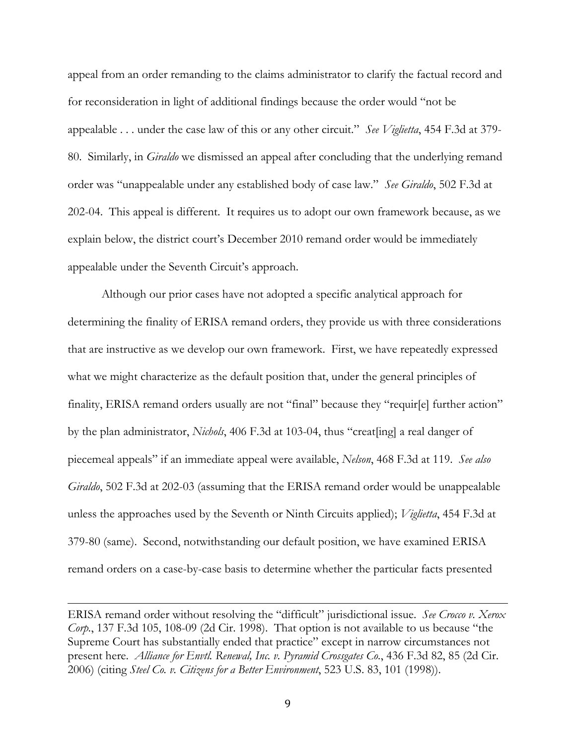appeal from an order remanding to the claims administrator to clarify the factual record and for reconsideration in light of additional findings because the order would "not be appealable . . . under the case law of this or any other circuit." *See Viglietta*, 454 F.3d at 379- 80. Similarly, in *Giraldo* we dismissed an appeal after concluding that the underlying remand order was "unappealable under any established body of case law." *See Giraldo*, 502 F.3d at 202-04. This appeal is different. It requires us to adopt our own framework because, as we explain below, the district court's December 2010 remand order would be immediately appealable under the Seventh Circuit's approach.

 Although our prior cases have not adopted a specific analytical approach for determining the finality of ERISA remand orders, they provide us with three considerations that are instructive as we develop our own framework. First, we have repeatedly expressed what we might characterize as the default position that, under the general principles of finality, ERISA remand orders usually are not "final" because they "requir[e] further action" by the plan administrator, *Nichols*, 406 F.3d at 103-04, thus "creat[ing] a real danger of piecemeal appeals" if an immediate appeal were available, *Nelson*, 468 F.3d at 119. *See also Giraldo*, 502 F.3d at 202-03 (assuming that the ERISA remand order would be unappealable unless the approaches used by the Seventh or Ninth Circuits applied); *Viglietta*, 454 F.3d at 379-80 (same). Second, notwithstanding our default position, we have examined ERISA remand orders on a case-by-case basis to determine whether the particular facts presented

ERISA remand order without resolving the "difficult" jurisdictional issue. *See Crocco v. Xerox Corp.*, 137 F.3d 105, 108-09 (2d Cir. 1998). That option is not available to us because "the Supreme Court has substantially ended that practice" except in narrow circumstances not present here. *Alliance for Envtl. Renewal, Inc. v. Pyramid Crossgates Co.*, 436 F.3d 82, 85 (2d Cir. 2006) (citing *Steel Co. v. Citizens for a Better Environment*, 523 U.S. 83, 101 (1998)).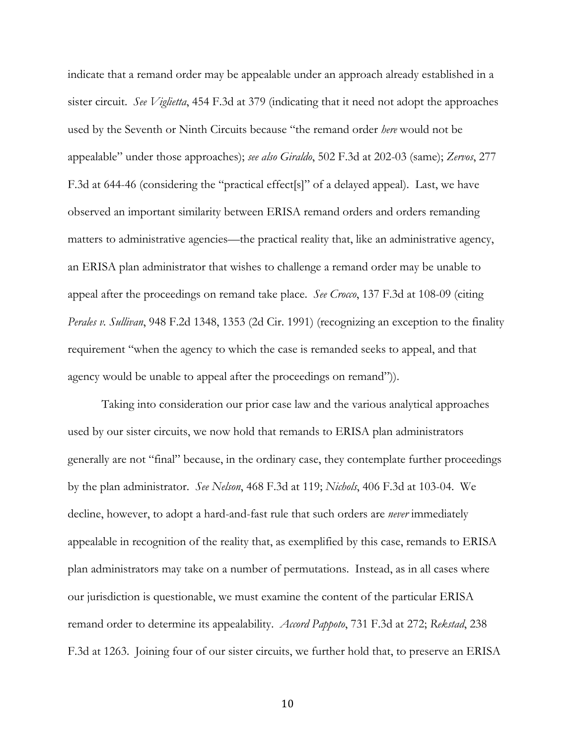indicate that a remand order may be appealable under an approach already established in a sister circuit. *See Viglietta*, 454 F.3d at 379 (indicating that it need not adopt the approaches used by the Seventh or Ninth Circuits because "the remand order *here* would not be appealable" under those approaches); *see also Giraldo*, 502 F.3d at 202-03 (same); *Zervos*, 277 F.3d at 644-46 (considering the "practical effect[s]" of a delayed appeal). Last, we have observed an important similarity between ERISA remand orders and orders remanding matters to administrative agencies—the practical reality that, like an administrative agency, an ERISA plan administrator that wishes to challenge a remand order may be unable to appeal after the proceedings on remand take place. *See Crocco*, 137 F.3d at 108-09 (citing *Perales v. Sullivan*, 948 F.2d 1348, 1353 (2d Cir. 1991) (recognizing an exception to the finality requirement "when the agency to which the case is remanded seeks to appeal, and that agency would be unable to appeal after the proceedings on remand")).

 Taking into consideration our prior case law and the various analytical approaches used by our sister circuits, we now hold that remands to ERISA plan administrators generally are not "final" because, in the ordinary case, they contemplate further proceedings by the plan administrator. *See Nelson*, 468 F.3d at 119; *Nichols*, 406 F.3d at 103-04. We decline, however, to adopt a hard-and-fast rule that such orders are *never* immediately appealable in recognition of the reality that, as exemplified by this case, remands to ERISA plan administrators may take on a number of permutations. Instead, as in all cases where our jurisdiction is questionable, we must examine the content of the particular ERISA remand order to determine its appealability. *Accord Pappoto*, 731 F.3d at 272; *Rekstad*, 238 F.3d at 1263. Joining four of our sister circuits, we further hold that, to preserve an ERISA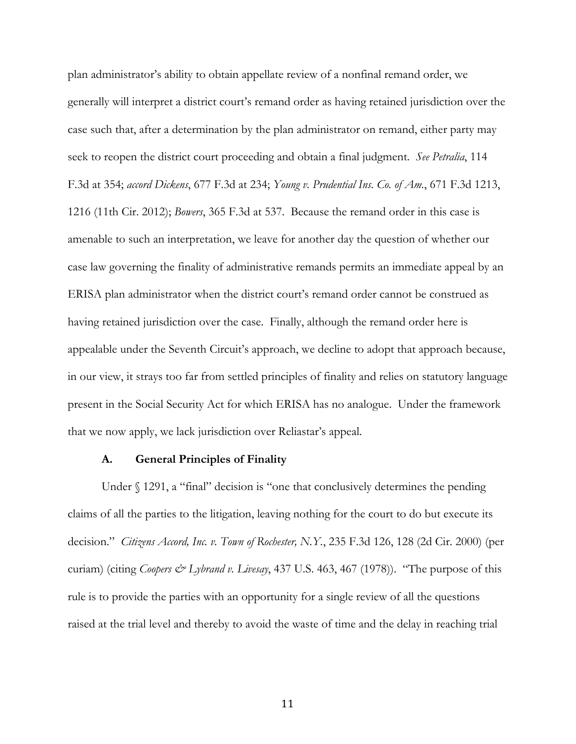plan administrator's ability to obtain appellate review of a nonfinal remand order, we generally will interpret a district court's remand order as having retained jurisdiction over the case such that, after a determination by the plan administrator on remand, either party may seek to reopen the district court proceeding and obtain a final judgment. *See Petralia*, 114 F.3d at 354; *accord Dickens*, 677 F.3d at 234; *Young v. Prudential Ins. Co. of Am.*, 671 F.3d 1213, 1216 (11th Cir. 2012); *Bowers*, 365 F.3d at 537. Because the remand order in this case is amenable to such an interpretation, we leave for another day the question of whether our case law governing the finality of administrative remands permits an immediate appeal by an ERISA plan administrator when the district court's remand order cannot be construed as having retained jurisdiction over the case. Finally, although the remand order here is appealable under the Seventh Circuit's approach, we decline to adopt that approach because, in our view, it strays too far from settled principles of finality and relies on statutory language present in the Social Security Act for which ERISA has no analogue. Under the framework that we now apply, we lack jurisdiction over Reliastar's appeal.

#### **A. General Principles of Finality**

Under § 1291, a "final" decision is "one that conclusively determines the pending claims of all the parties to the litigation, leaving nothing for the court to do but execute its decision." *Citizens Accord, Inc. v. Town of Rochester, N.Y.*, 235 F.3d 126, 128 (2d Cir. 2000) (per curiam) (citing *Coopers & Lybrand v. Livesay*, 437 U.S. 463, 467 (1978)). "The purpose of this rule is to provide the parties with an opportunity for a single review of all the questions raised at the trial level and thereby to avoid the waste of time and the delay in reaching trial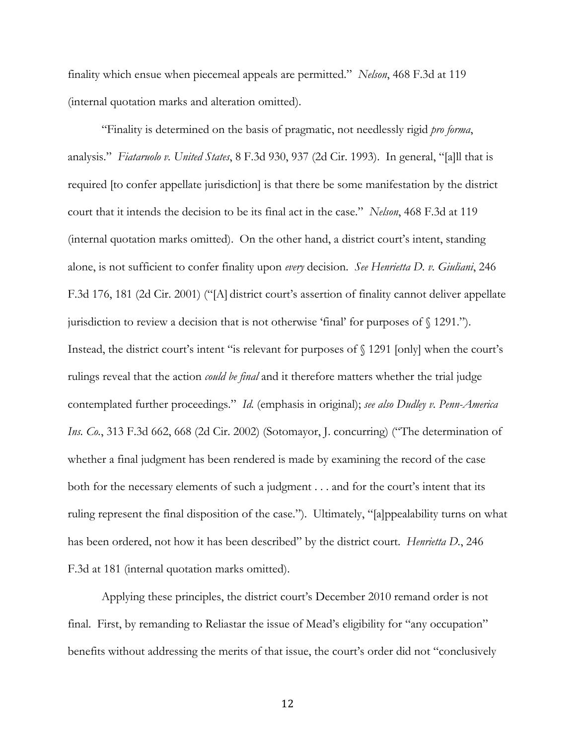finality which ensue when piecemeal appeals are permitted." *Nelson*, 468 F.3d at 119 (internal quotation marks and alteration omitted).

 "Finality is determined on the basis of pragmatic, not needlessly rigid *pro forma*, analysis." *Fiataruolo v. United States*, 8 F.3d 930, 937 (2d Cir. 1993). In general, "[a]ll that is required [to confer appellate jurisdiction] is that there be some manifestation by the district court that it intends the decision to be its final act in the case." *Nelson*, 468 F.3d at 119 (internal quotation marks omitted). On the other hand, a district court's intent, standing alone, is not sufficient to confer finality upon *every* decision. *See Henrietta D. v. Giuliani*, 246 F.3d 176, 181 (2d Cir. 2001) ("[A] district court's assertion of finality cannot deliver appellate jurisdiction to review a decision that is not otherwise 'final' for purposes of § 1291."). Instead, the district court's intent "is relevant for purposes of § 1291 [only] when the court's rulings reveal that the action *could be final* and it therefore matters whether the trial judge contemplated further proceedings." *Id.* (emphasis in original); *see also Dudley v. Penn-America Ins. Co.*, 313 F.3d 662, 668 (2d Cir. 2002) (Sotomayor, J. concurring) ("The determination of whether a final judgment has been rendered is made by examining the record of the case both for the necessary elements of such a judgment . . . and for the court's intent that its ruling represent the final disposition of the case."). Ultimately, "[a]ppealability turns on what has been ordered, not how it has been described" by the district court. *Henrietta D.*, 246 F.3d at 181 (internal quotation marks omitted).

 Applying these principles, the district court's December 2010 remand order is not final. First, by remanding to Reliastar the issue of Mead's eligibility for "any occupation" benefits without addressing the merits of that issue, the court's order did not "conclusively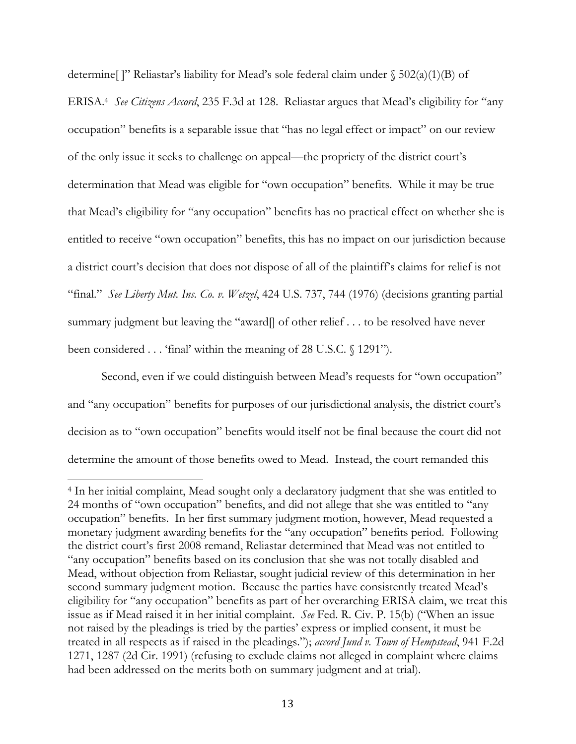determine []" Reliastar's liability for Mead's sole federal claim under  $\S$  502(a)(1)(B) of ERISA.4 *See Citizens Accord*, 235 F.3d at 128. Reliastar argues that Mead's eligibility for "any occupation" benefits is a separable issue that "has no legal effect or impact" on our review of the only issue it seeks to challenge on appeal—the propriety of the district court's determination that Mead was eligible for "own occupation" benefits. While it may be true that Mead's eligibility for "any occupation" benefits has no practical effect on whether she is entitled to receive "own occupation" benefits, this has no impact on our jurisdiction because a district court's decision that does not dispose of all of the plaintiff's claims for relief is not "final." *See Liberty Mut. Ins. Co. v. Wetzel*, 424 U.S. 737, 744 (1976) (decisions granting partial summary judgment but leaving the "award] of other relief . . . to be resolved have never been considered . . . 'final' within the meaning of 28 U.S.C. § 1291").

 Second, even if we could distinguish between Mead's requests for "own occupation" and "any occupation" benefits for purposes of our jurisdictional analysis, the district court's decision as to "own occupation" benefits would itself not be final because the court did not determine the amount of those benefits owed to Mead. Instead, the court remanded this

<sup>4</sup> In her initial complaint, Mead sought only a declaratory judgment that she was entitled to 24 months of "own occupation" benefits, and did not allege that she was entitled to "any occupation" benefits. In her first summary judgment motion, however, Mead requested a monetary judgment awarding benefits for the "any occupation" benefits period. Following the district court's first 2008 remand, Reliastar determined that Mead was not entitled to "any occupation" benefits based on its conclusion that she was not totally disabled and Mead, without objection from Reliastar, sought judicial review of this determination in her second summary judgment motion.Because the parties have consistently treated Mead's eligibility for "any occupation" benefits as part of her overarching ERISA claim, we treat this issue as if Mead raised it in her initial complaint. *See* Fed. R. Civ. P. 15(b) ("When an issue not raised by the pleadings is tried by the parties' express or implied consent, it must be treated in all respects as if raised in the pleadings."); *accord Jund v. Town of Hempstead*, 941 F.2d 1271, 1287 (2d Cir. 1991) (refusing to exclude claims not alleged in complaint where claims had been addressed on the merits both on summary judgment and at trial).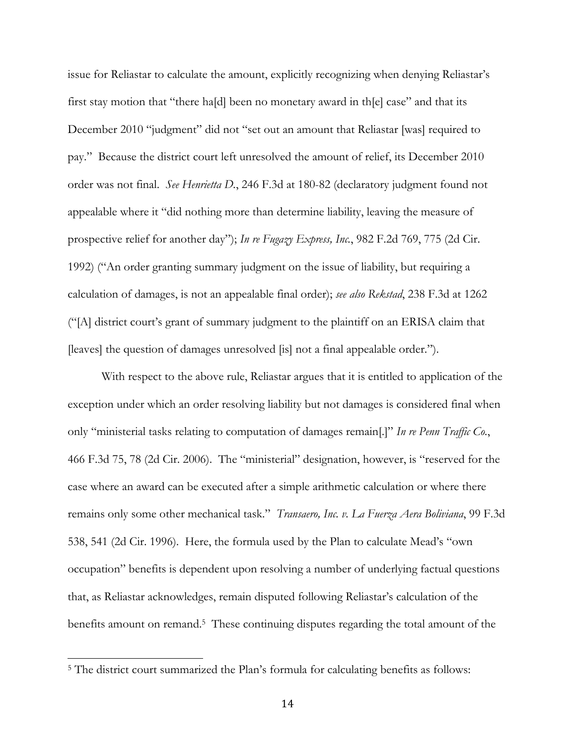issue for Reliastar to calculate the amount, explicitly recognizing when denying Reliastar's first stay motion that "there ha[d] been no monetary award in th[e] case" and that its December 2010 "judgment" did not "set out an amount that Reliastar [was] required to pay." Because the district court left unresolved the amount of relief, its December 2010 order was not final. *See Henrietta D.*, 246 F.3d at 180-82 (declaratory judgment found not appealable where it "did nothing more than determine liability, leaving the measure of prospective relief for another day"); *In re Fugazy Express, Inc.*, 982 F.2d 769, 775 (2d Cir. 1992) ("An order granting summary judgment on the issue of liability, but requiring a calculation of damages, is not an appealable final order); *see also Rekstad*, 238 F.3d at 1262 ("[A] district court's grant of summary judgment to the plaintiff on an ERISA claim that [leaves] the question of damages unresolved [is] not a final appealable order.").

With respect to the above rule, Reliastar argues that it is entitled to application of the exception under which an order resolving liability but not damages is considered final when only "ministerial tasks relating to computation of damages remain[.]" *In re Penn Traffic Co.*, 466 F.3d 75, 78 (2d Cir. 2006). The "ministerial" designation, however, is "reserved for the case where an award can be executed after a simple arithmetic calculation or where there remains only some other mechanical task." *Transaero, Inc. v. La Fuerza Aera Boliviana*, 99 F.3d 538, 541 (2d Cir. 1996). Here, the formula used by the Plan to calculate Mead's "own occupation" benefits is dependent upon resolving a number of underlying factual questions that, as Reliastar acknowledges, remain disputed following Reliastar's calculation of the benefits amount on remand.<sup>5</sup> These continuing disputes regarding the total amount of the

<sup>&</sup>lt;sup>5</sup> The district court summarized the Plan's formula for calculating benefits as follows: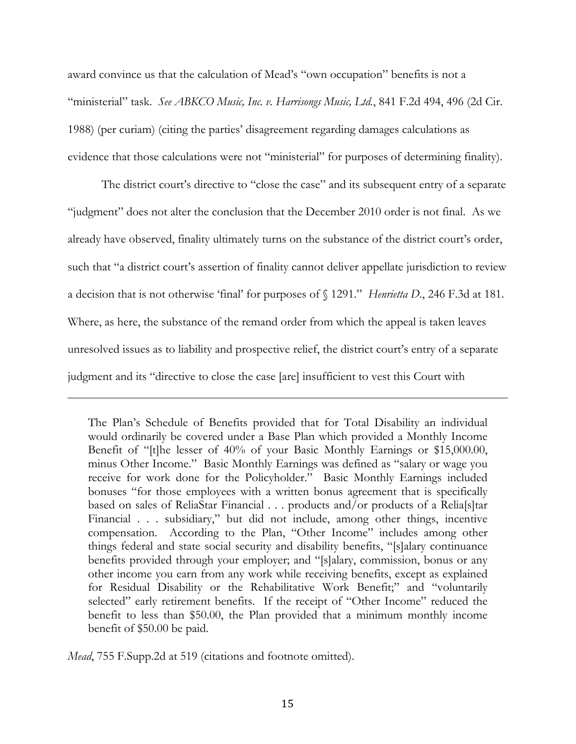award convince us that the calculation of Mead's "own occupation" benefits is not a "ministerial" task. *See ABKCO Music, Inc. v. Harrisongs Music, Ltd.*, 841 F.2d 494, 496 (2d Cir. 1988) (per curiam) (citing the parties' disagreement regarding damages calculations as evidence that those calculations were not "ministerial" for purposes of determining finality).

 The district court's directive to "close the case" and its subsequent entry of a separate "judgment" does not alter the conclusion that the December 2010 order is not final. As we already have observed, finality ultimately turns on the substance of the district court's order, such that "a district court's assertion of finality cannot deliver appellate jurisdiction to review a decision that is not otherwise 'final' for purposes of § 1291." *Henrietta D.*, 246 F.3d at 181. Where, as here, the substance of the remand order from which the appeal is taken leaves unresolved issues as to liability and prospective relief, the district court's entry of a separate judgment and its "directive to close the case [are] insufficient to vest this Court with

 

The Plan's Schedule of Benefits provided that for Total Disability an individual would ordinarily be covered under a Base Plan which provided a Monthly Income Benefit of "[t]he lesser of 40% of your Basic Monthly Earnings or \$15,000.00, minus Other Income." Basic Monthly Earnings was defined as "salary or wage you receive for work done for the Policyholder." Basic Monthly Earnings included bonuses "for those employees with a written bonus agreement that is specifically based on sales of ReliaStar Financial . . . products and/or products of a Relia[s]tar Financial . . . subsidiary," but did not include, among other things, incentive compensation. According to the Plan, "Other Income" includes among other things federal and state social security and disability benefits, "[s]alary continuance benefits provided through your employer; and "[s]alary, commission, bonus or any other income you earn from any work while receiving benefits, except as explained for Residual Disability or the Rehabilitative Work Benefit;" and "voluntarily selected" early retirement benefits. If the receipt of "Other Income" reduced the benefit to less than \$50.00, the Plan provided that a minimum monthly income benefit of \$50.00 be paid.

*Mead*, 755 F.Supp.2d at 519 (citations and footnote omitted).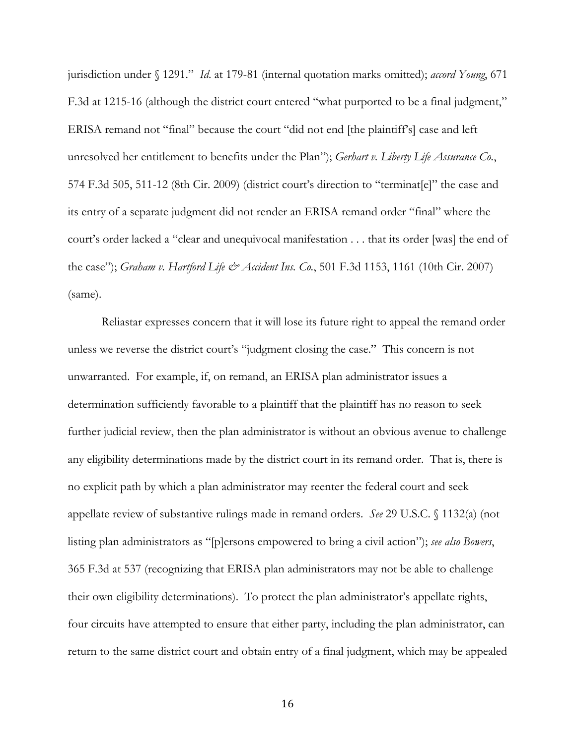jurisdiction under § 1291." *Id*. at 179-81 (internal quotation marks omitted); *accord Young*, 671 F.3d at 1215-16 (although the district court entered "what purported to be a final judgment," ERISA remand not "final" because the court "did not end [the plaintiff's] case and left unresolved her entitlement to benefits under the Plan"); *Gerhart v. Liberty Life Assurance Co.*, 574 F.3d 505, 511-12 (8th Cir. 2009) (district court's direction to "terminat[e]" the case and its entry of a separate judgment did not render an ERISA remand order "final" where the court's order lacked a "clear and unequivocal manifestation . . . that its order [was] the end of the case"); *Graham v. Hartford Life & Accident Ins. Co.*, 501 F.3d 1153, 1161 (10th Cir. 2007) (same).

 Reliastar expresses concern that it will lose its future right to appeal the remand order unless we reverse the district court's "judgment closing the case." This concern is not unwarranted. For example, if, on remand, an ERISA plan administrator issues a determination sufficiently favorable to a plaintiff that the plaintiff has no reason to seek further judicial review, then the plan administrator is without an obvious avenue to challenge any eligibility determinations made by the district court in its remand order. That is, there is no explicit path by which a plan administrator may reenter the federal court and seek appellate review of substantive rulings made in remand orders. *See* 29 U.S.C. § 1132(a) (not listing plan administrators as "[p]ersons empowered to bring a civil action"); *see also Bowers*, 365 F.3d at 537 (recognizing that ERISA plan administrators may not be able to challenge their own eligibility determinations). To protect the plan administrator's appellate rights, four circuits have attempted to ensure that either party, including the plan administrator, can return to the same district court and obtain entry of a final judgment, which may be appealed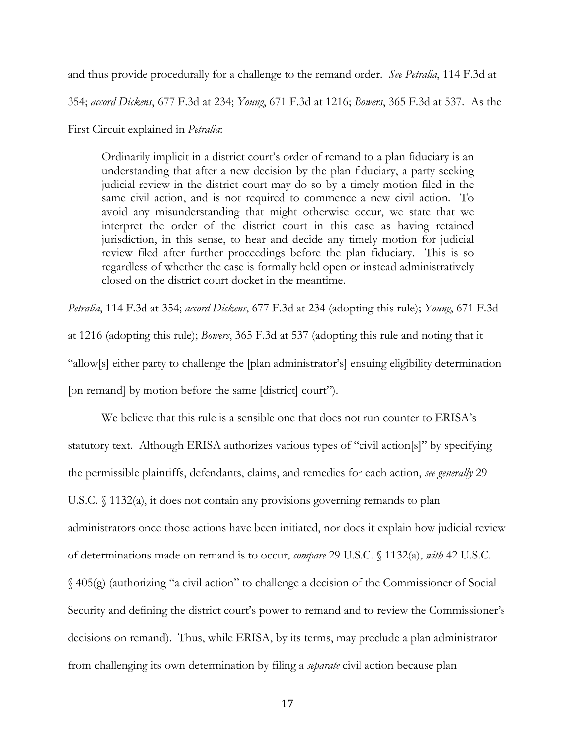and thus provide procedurally for a challenge to the remand order. *See Petralia*, 114 F.3d at

354; *accord Dickens*, 677 F.3d at 234; *Young*, 671 F.3d at 1216; *Bowers*, 365 F.3d at 537. As the

First Circuit explained in *Petralia*:

Ordinarily implicit in a district court's order of remand to a plan fiduciary is an understanding that after a new decision by the plan fiduciary, a party seeking judicial review in the district court may do so by a timely motion filed in the same civil action, and is not required to commence a new civil action. To avoid any misunderstanding that might otherwise occur, we state that we interpret the order of the district court in this case as having retained jurisdiction, in this sense, to hear and decide any timely motion for judicial review filed after further proceedings before the plan fiduciary. This is so regardless of whether the case is formally held open or instead administratively closed on the district court docket in the meantime.

*Petralia*, 114 F.3d at 354; *accord Dickens*, 677 F.3d at 234 (adopting this rule); *Young*, 671 F.3d at 1216 (adopting this rule); *Bowers*, 365 F.3d at 537 (adopting this rule and noting that it "allow[s] either party to challenge the [plan administrator's] ensuing eligibility determination [on remand] by motion before the same [district] court").

 We believe that this rule is a sensible one that does not run counter to ERISA's statutory text. Although ERISA authorizes various types of "civil action[s]" by specifying the permissible plaintiffs, defendants, claims, and remedies for each action, *see generally* 29 U.S.C. § 1132(a), it does not contain any provisions governing remands to plan administrators once those actions have been initiated, nor does it explain how judicial review of determinations made on remand is to occur, *compare* 29 U.S.C. § 1132(a), *with* 42 U.S.C. § 405(g) (authorizing "a civil action" to challenge a decision of the Commissioner of Social Security and defining the district court's power to remand and to review the Commissioner's decisions on remand). Thus, while ERISA, by its terms, may preclude a plan administrator from challenging its own determination by filing a *separate* civil action because plan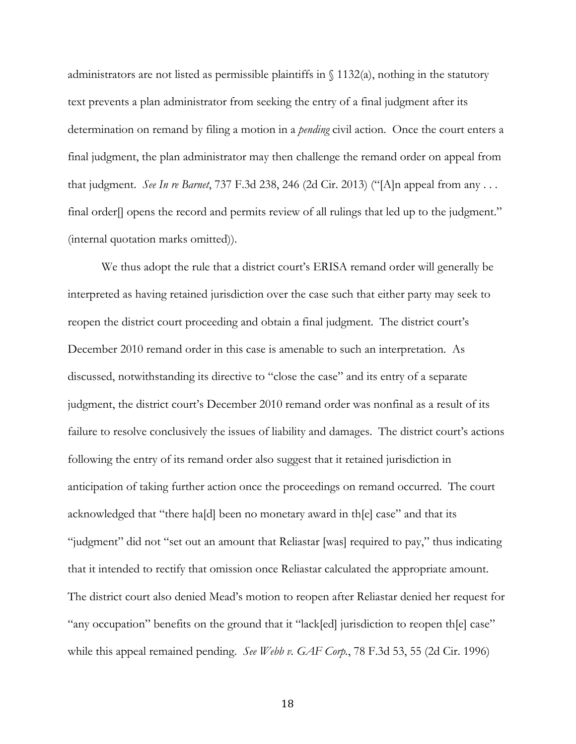administrators are not listed as permissible plaintiffs in  $\int$  1132(a), nothing in the statutory text prevents a plan administrator from seeking the entry of a final judgment after its determination on remand by filing a motion in a *pending* civil action. Once the court enters a final judgment, the plan administrator may then challenge the remand order on appeal from that judgment. *See In re Barnet*, 737 F.3d 238, 246 (2d Cir. 2013) ("[A]n appeal from any . . . final order[] opens the record and permits review of all rulings that led up to the judgment." (internal quotation marks omitted)).

 We thus adopt the rule that a district court's ERISA remand order will generally be interpreted as having retained jurisdiction over the case such that either party may seek to reopen the district court proceeding and obtain a final judgment. The district court's December 2010 remand order in this case is amenable to such an interpretation. As discussed, notwithstanding its directive to "close the case" and its entry of a separate judgment, the district court's December 2010 remand order was nonfinal as a result of its failure to resolve conclusively the issues of liability and damages. The district court's actions following the entry of its remand order also suggest that it retained jurisdiction in anticipation of taking further action once the proceedings on remand occurred. The court acknowledged that "there ha[d] been no monetary award in th[e] case" and that its "judgment" did not "set out an amount that Reliastar [was] required to pay," thus indicating that it intended to rectify that omission once Reliastar calculated the appropriate amount. The district court also denied Mead's motion to reopen after Reliastar denied her request for "any occupation" benefits on the ground that it "lack[ed] jurisdiction to reopen th[e] case" while this appeal remained pending. *See Webb v. GAF Corp.*, 78 F.3d 53, 55 (2d Cir. 1996)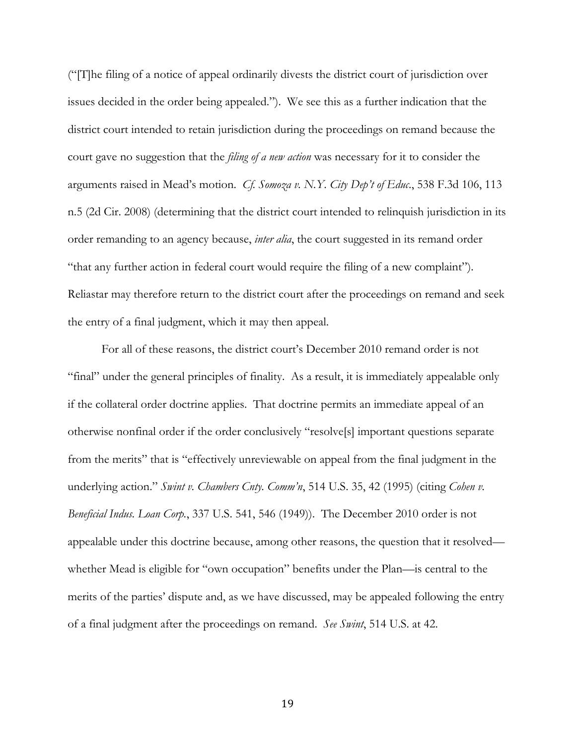("[T]he filing of a notice of appeal ordinarily divests the district court of jurisdiction over issues decided in the order being appealed."). We see this as a further indication that the district court intended to retain jurisdiction during the proceedings on remand because the court gave no suggestion that the *filing of a new action* was necessary for it to consider the arguments raised in Mead's motion. *Cf. Somoza v. N.Y. City Dep't of Educ*., 538 F.3d 106, 113 n.5 (2d Cir. 2008) (determining that the district court intended to relinquish jurisdiction in its order remanding to an agency because, *inter alia*, the court suggested in its remand order "that any further action in federal court would require the filing of a new complaint"). Reliastar may therefore return to the district court after the proceedings on remand and seek the entry of a final judgment, which it may then appeal.

 For all of these reasons, the district court's December 2010 remand order is not "final" under the general principles of finality. As a result, it is immediately appealable only if the collateral order doctrine applies. That doctrine permits an immediate appeal of an otherwise nonfinal order if the order conclusively "resolve[s] important questions separate from the merits" that is "effectively unreviewable on appeal from the final judgment in the underlying action." *Swint v. Chambers Cnty. Comm'n*, 514 U.S. 35, 42 (1995) (citing *Cohen v. Beneficial Indus. Loan Corp.*, 337 U.S. 541, 546 (1949)). The December 2010 order is not appealable under this doctrine because, among other reasons, the question that it resolved whether Mead is eligible for "own occupation" benefits under the Plan—is central to the merits of the parties' dispute and, as we have discussed, may be appealed following the entry of a final judgment after the proceedings on remand. *See Swint*, 514 U.S. at 42.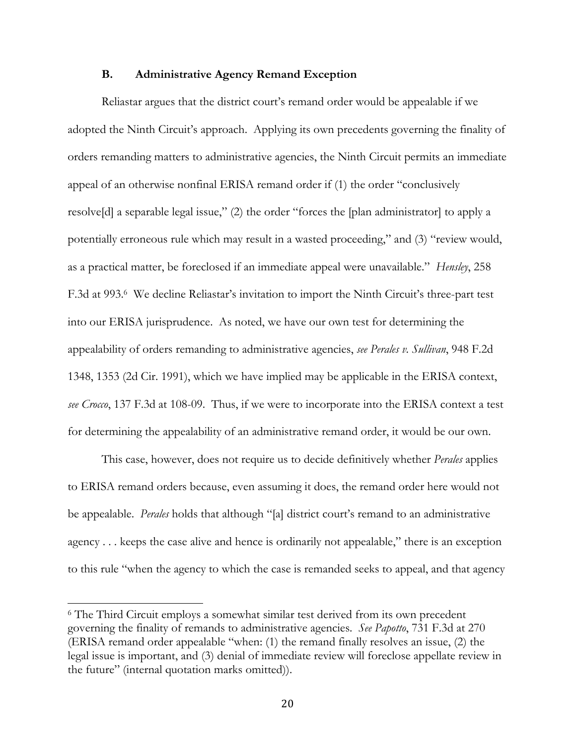### **B. Administrative Agency Remand Exception**

 Reliastar argues that the district court's remand order would be appealable if we adopted the Ninth Circuit's approach. Applying its own precedents governing the finality of orders remanding matters to administrative agencies, the Ninth Circuit permits an immediate appeal of an otherwise nonfinal ERISA remand order if (1) the order "conclusively resolve[d] a separable legal issue," (2) the order "forces the [plan administrator] to apply a potentially erroneous rule which may result in a wasted proceeding," and (3) "review would, as a practical matter, be foreclosed if an immediate appeal were unavailable." *Hensley*, 258 F.3d at 993.6 We decline Reliastar's invitation to import the Ninth Circuit's three-part test into our ERISA jurisprudence. As noted, we have our own test for determining the appealability of orders remanding to administrative agencies, *see Perales v. Sullivan*, 948 F.2d 1348, 1353 (2d Cir. 1991), which we have implied may be applicable in the ERISA context, *see Crocco*, 137 F.3d at 108-09. Thus, if we were to incorporate into the ERISA context a test for determining the appealability of an administrative remand order, it would be our own.

 This case, however, does not require us to decide definitively whether *Perales* applies to ERISA remand orders because, even assuming it does, the remand order here would not be appealable. *Perales* holds that although "[a] district court's remand to an administrative agency . . . keeps the case alive and hence is ordinarily not appealable," there is an exception to this rule "when the agency to which the case is remanded seeks to appeal, and that agency

<sup>6</sup> The Third Circuit employs a somewhat similar test derived from its own precedent governing the finality of remands to administrative agencies. *See Papotto*, 731 F.3d at 270 (ERISA remand order appealable "when: (1) the remand finally resolves an issue, (2) the legal issue is important, and (3) denial of immediate review will foreclose appellate review in the future" (internal quotation marks omitted)).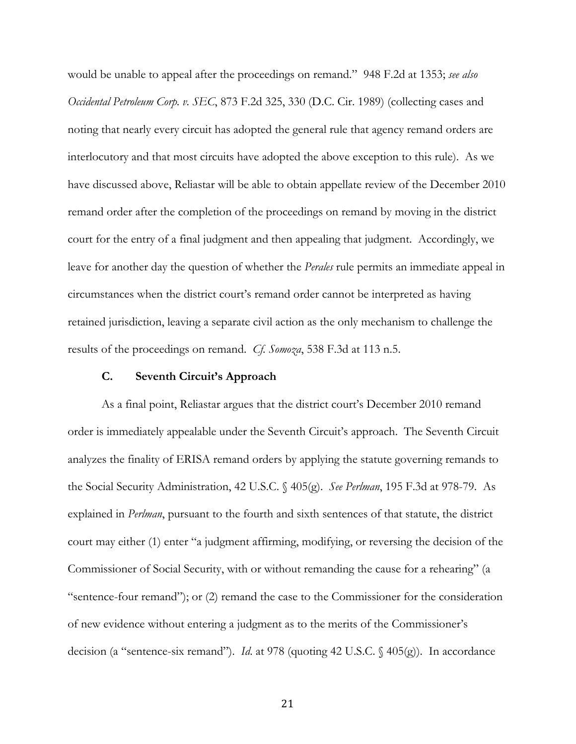would be unable to appeal after the proceedings on remand." 948 F.2d at 1353; *see also Occidental Petroleum Corp. v. SEC*, 873 F.2d 325, 330 (D.C. Cir. 1989) (collecting cases and noting that nearly every circuit has adopted the general rule that agency remand orders are interlocutory and that most circuits have adopted the above exception to this rule). As we have discussed above, Reliastar will be able to obtain appellate review of the December 2010 remand order after the completion of the proceedings on remand by moving in the district court for the entry of a final judgment and then appealing that judgment. Accordingly, we leave for another day the question of whether the *Perales* rule permits an immediate appeal in circumstances when the district court's remand order cannot be interpreted as having retained jurisdiction, leaving a separate civil action as the only mechanism to challenge the results of the proceedings on remand. *Cf. Somoza*, 538 F.3d at 113 n.5.

### **C. Seventh Circuit's Approach**

 As a final point, Reliastar argues that the district court's December 2010 remand order is immediately appealable under the Seventh Circuit's approach. The Seventh Circuit analyzes the finality of ERISA remand orders by applying the statute governing remands to the Social Security Administration, 42 U.S.C. § 405(g). *See Perlman*, 195 F.3d at 978-79. As explained in *Perlman*, pursuant to the fourth and sixth sentences of that statute, the district court may either (1) enter "a judgment affirming, modifying, or reversing the decision of the Commissioner of Social Security, with or without remanding the cause for a rehearing" (a "sentence-four remand"); or (2) remand the case to the Commissioner for the consideration of new evidence without entering a judgment as to the merits of the Commissioner's decision (a "sentence-six remand"). *Id*. at 978 (quoting 42 U.S.C. § 405(g)). In accordance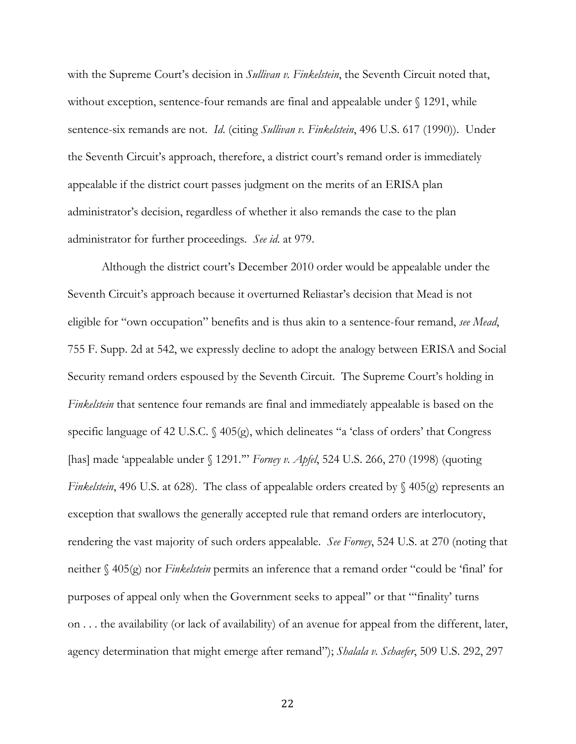with the Supreme Court's decision in *Sullivan v. Finkelstein*, the Seventh Circuit noted that, without exception, sentence-four remands are final and appealable under § 1291, while sentence-six remands are not. *Id*. (citing *Sullivan v. Finkelstein*, 496 U.S. 617 (1990)). Under the Seventh Circuit's approach, therefore, a district court's remand order is immediately appealable if the district court passes judgment on the merits of an ERISA plan administrator's decision, regardless of whether it also remands the case to the plan administrator for further proceedings. *See id*. at 979.

 Although the district court's December 2010 order would be appealable under the Seventh Circuit's approach because it overturned Reliastar's decision that Mead is not eligible for "own occupation" benefits and is thus akin to a sentence-four remand, *see Mead*, 755 F. Supp. 2d at 542, we expressly decline to adopt the analogy between ERISA and Social Security remand orders espoused by the Seventh Circuit. The Supreme Court's holding in *Finkelstein* that sentence four remands are final and immediately appealable is based on the specific language of 42 U.S.C. § 405(g), which delineates "a 'class of orders' that Congress [has] made 'appealable under § 1291.'" *Forney v. Apfel*, 524 U.S. 266, 270 (1998) (quoting *Finkelstein*, 496 U.S. at 628). The class of appealable orders created by § 405(g) represents an exception that swallows the generally accepted rule that remand orders are interlocutory, rendering the vast majority of such orders appealable. *See Forney*, 524 U.S. at 270 (noting that neither § 405(g) nor *Finkelstein* permits an inference that a remand order "could be 'final' for purposes of appeal only when the Government seeks to appeal" or that "'finality' turns on . . . the availability (or lack of availability) of an avenue for appeal from the different, later, agency determination that might emerge after remand"); *Shalala v. Schaefer*, 509 U.S. 292, 297

<u>22</u>